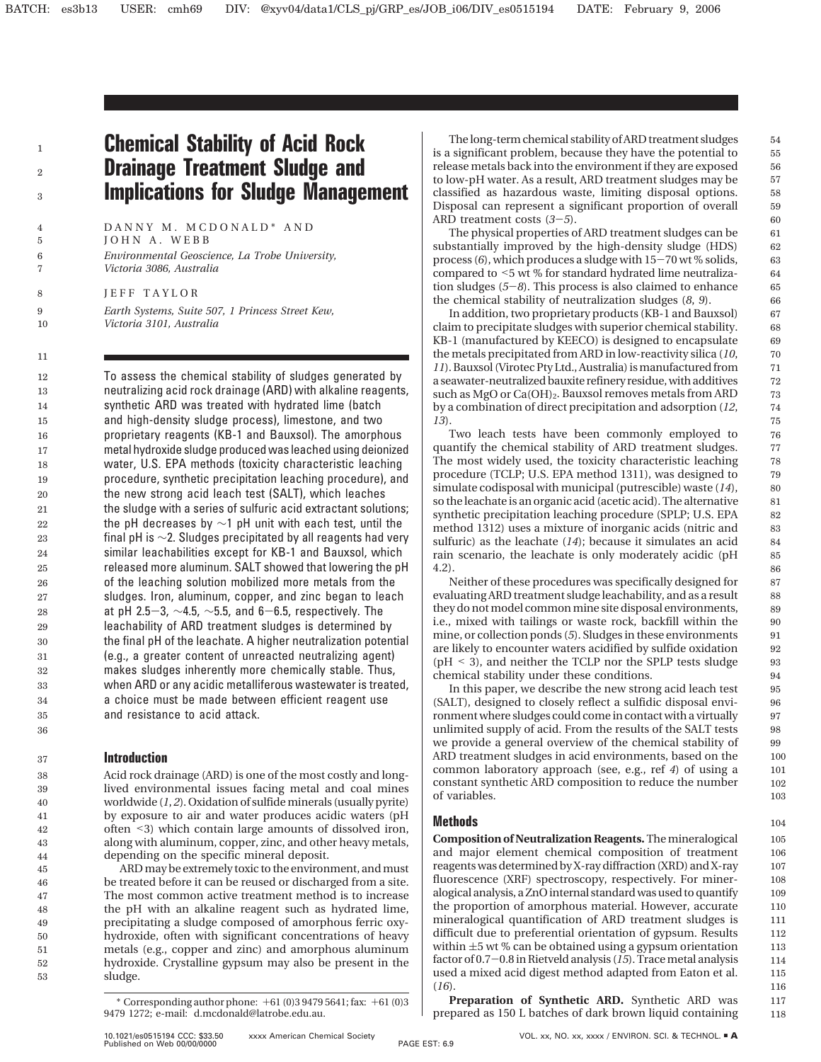1 2 3

# **Chemical Stability of Acid Rock Drainage Treatment Sludge and Implications for Sludge Management**

DANNY M. MCDONALD\* AND JOHN A. WEBB *Environmental Geoscience, La Trobe University, Victoria 3086, Australia*

JEFF TAYLOR

*Earth Systems, Suite 507, 1 Princess Street Kew, Victoria 3101, Australia*

To assess the chemical stability of sludges generated by neutralizing acid rock drainage (ARD) with alkaline reagents, synthetic ARD was treated with hydrated lime (batch and high-density sludge process), limestone, and two proprietary reagents (KB-1 and Bauxsol). The amorphous metal hydroxide sludge produced was leached using deionized water, U.S. EPA methods (toxicity characteristic leaching procedure, synthetic precipitation leaching procedure), and the new strong acid leach test (SALT), which leaches the sludge with a series of sulfuric acid extractant solutions; the pH decreases by  $\sim$ 1 pH unit with each test, until the final pH is  $\sim$ 2. Sludges precipitated by all reagents had very similar leachabilities except for KB-1 and Bauxsol, which released more aluminum. SALT showed that lowering the pH of the leaching solution mobilized more metals from the sludges. Iron, aluminum, copper, and zinc began to leach at pH 2.5-3,  $\sim$ 4.5,  $\sim$ 5.5, and 6-6.5, respectively. The leachability of ARD treatment sludges is determined by the final pH of the leachate. A higher neutralization potential (e.g., a greater content of unreacted neutralizing agent) makes sludges inherently more chemically stable. Thus, when ARD or any acidic metalliferous wastewater is treated, a choice must be made between efficient reagent use and resistance to acid attack.

# **Introduction**

Acid rock drainage (ARD) is one of the most costly and longlived environmental issues facing metal and coal mines worldwide (*1*, *2*). Oxidation of sulfide minerals (usually pyrite) by exposure to air and water produces acidic waters (pH often <3) which contain large amounts of dissolved iron, along with aluminum, copper, zinc, and other heavy metals, depending on the specific mineral deposit.

ARD may be extremely toxic to the environment, and must be treated before it can be reused or discharged from a site. The most common active treatment method is to increase the pH with an alkaline reagent such as hydrated lime, precipitating a sludge composed of amorphous ferric oxyhydroxide, often with significant concentrations of heavy metals (e.g., copper and zinc) and amorphous aluminum hydroxide. Crystalline gypsum may also be present in the sludge.

The long-term chemical stability of ARD treatment sludges is a significant problem, because they have the potential to release metals back into the environment if they are exposed to low-pH water. As a result, ARD treatment sludges may be classified as hazardous waste, limiting disposal options. Disposal can represent a significant proportion of overall ARD treatment costs (*3*-*5*).

The physical properties of ARD treatment sludges can be substantially improved by the high-density sludge (HDS) process (6), which produces a sludge with  $15-70$  wt % solids, compared to <5 wt % for standard hydrated lime neutralization sludges (*5*-*8*). This process is also claimed to enhance the chemical stability of neutralization sludges (*8*, *9*).

In addition, two proprietary products (KB-1 and Bauxsol) claim to precipitate sludges with superior chemical stability. KB-1 (manufactured by KEECO) is designed to encapsulate the metals precipitated from ARD in low-reactivity silica (*10*, *11*). Bauxsol (Virotec Pty Ltd., Australia) is manufactured from a seawater-neutralized bauxite refinery residue, with additives such as  $MgO$  or  $Ca(OH)_2$ . Bauxsol removes metals from ARD by a combination of direct precipitation and adsorption (*12*, *13*).

Two leach tests have been commonly employed to quantify the chemical stability of ARD treatment sludges. The most widely used, the toxicity characteristic leaching procedure (TCLP; U.S. EPA method 1311), was designed to simulate codisposal with municipal (putrescible) waste (*14*), so the leachate is an organic acid (acetic acid). The alternative synthetic precipitation leaching procedure (SPLP; U.S. EPA method 1312) uses a mixture of inorganic acids (nitric and sulfuric) as the leachate (*14*); because it simulates an acid rain scenario, the leachate is only moderately acidic (pH 4.2).

Neither of these procedures was specifically designed for evaluating ARD treatment sludge leachability, and as a result they do not model common mine site disposal environments, i.e., mixed with tailings or waste rock, backfill within the mine, or collection ponds (*5*). Sludges in these environments are likely to encounter waters acidified by sulfide oxidation (pH < 3), and neither the TCLP nor the SPLP tests sludge chemical stability under these conditions.

In this paper, we describe the new strong acid leach test (SALT), designed to closely reflect a sulfidic disposal environment where sludges could come in contact with a virtually unlimited supply of acid. From the results of the SALT tests we provide a general overview of the chemical stability of ARD treatment sludges in acid environments, based on the common laboratory approach (see, e.g., ref *4*) of using a constant synthetic ARD composition to reduce the number of variables.

# **Methods**

**Composition of Neutralization Reagents.** The mineralogical and major element chemical composition of treatment reagents was determined by X-ray diffraction (XRD) and X-ray fluorescence (XRF) spectroscopy, respectively. For mineralogical analysis, a ZnO internal standard was used to quantify the proportion of amorphous material. However, accurate mineralogical quantification of ARD treatment sludges is difficult due to preferential orientation of gypsum. Results within  $\pm 5$  wt % can be obtained using a gypsum orientation factor of 0.7-0.8 in Rietveld analysis (*15*). Trace metal analysis used a mixed acid digest method adapted from Eaton et al. (*16*).

**Preparation of Synthetic ARD.** Synthetic ARD was prepared as 150 L batches of dark brown liquid containing 117 118

 $*$  Corresponding author phone:  $+61(0)394795641$ ; fax:  $+61(0)3$ 9479 1272; e-mail: d.mcdonald@latrobe.edu.au.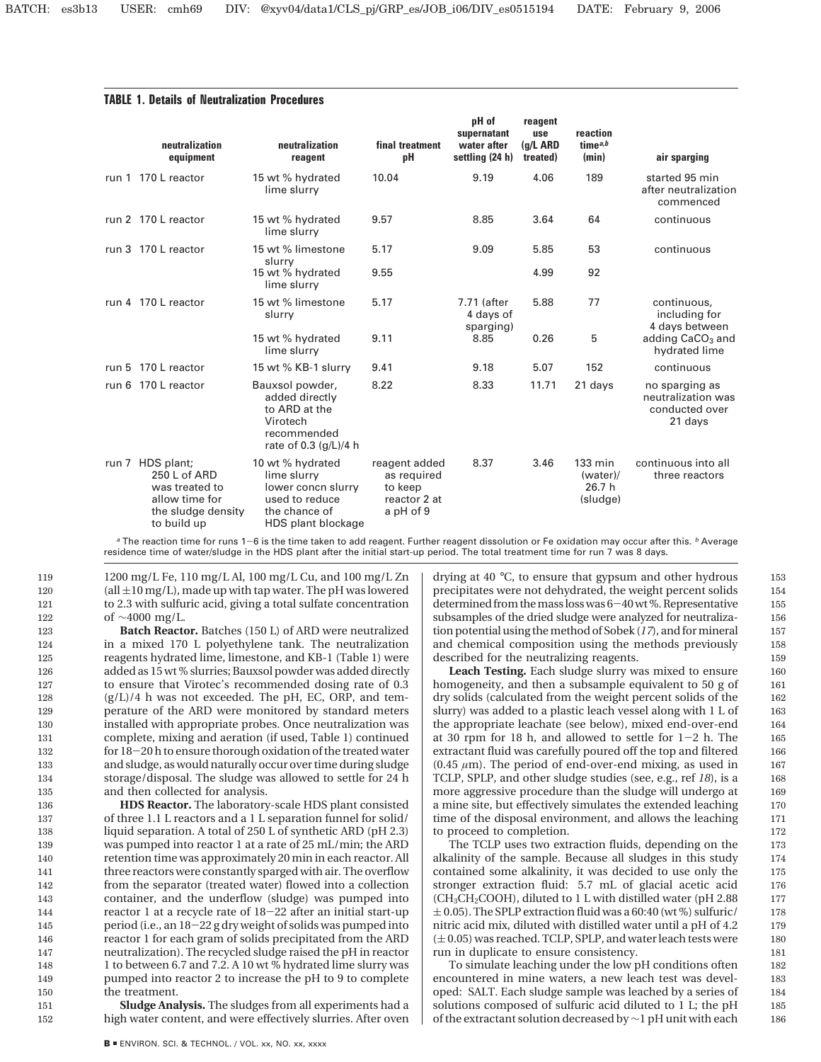|       | neutralization<br>equipment                                                                         | neutralization<br>reagent                                                                                      | final treatment<br>рH                                                | pH of<br>supernatant<br>water after<br>settling (24 h) | reagent<br>use<br>(g/L ARD<br>treated) | reaction<br>time $a,b$<br>(min)                     | air sparging                                                      |  |
|-------|-----------------------------------------------------------------------------------------------------|----------------------------------------------------------------------------------------------------------------|----------------------------------------------------------------------|--------------------------------------------------------|----------------------------------------|-----------------------------------------------------|-------------------------------------------------------------------|--|
| run 1 | 170 L reactor                                                                                       | 15 wt % hydrated<br>lime slurry                                                                                | 10.04                                                                | 9.19                                                   | 4.06                                   | 189                                                 | started 95 min<br>after neutralization<br>commenced               |  |
|       | run 2 170 L reactor                                                                                 | 15 wt % hydrated<br>lime slurry                                                                                | 9.57                                                                 | 8.85                                                   | 3.64                                   | 64                                                  | continuous                                                        |  |
|       | run 3 170 L reactor                                                                                 | 15 wt % limestone                                                                                              | 5.17                                                                 | 9.09                                                   | 5.85                                   | 53                                                  | continuous                                                        |  |
|       |                                                                                                     | slurry<br>15 wt % hydrated<br>lime slurry                                                                      | 9.55                                                                 |                                                        | 4.99                                   | 92                                                  |                                                                   |  |
|       | run 4 170 L reactor                                                                                 | 15 wt % limestone<br>slurry                                                                                    | 5.17                                                                 | 7.71 (after<br>4 days of                               | 5.88                                   | 77                                                  | continuous,<br>including for                                      |  |
|       |                                                                                                     | 15 wt % hydrated<br>lime slurry                                                                                | 9.11                                                                 | sparging)<br>8.85                                      | 0.26                                   | 5                                                   | 4 days between<br>adding CaCO <sub>3</sub> and<br>hydrated lime   |  |
| run 5 | 170 L reactor                                                                                       | 15 wt % KB-1 slurry                                                                                            | 9.41                                                                 | 9.18                                                   | 5.07                                   | 152                                                 | continuous                                                        |  |
| run 6 | 170 L reactor                                                                                       | Bauxsol powder,<br>added directly<br>to ARD at the<br>Virotech<br>recommended<br>rate of 0.3 (g/L)/4 h         | 8.22                                                                 | 8.33                                                   | 11.71                                  | 21 days                                             | no sparging as<br>neutralization was<br>conducted over<br>21 days |  |
| run 7 | HDS plant;<br>250 L of ARD<br>was treated to<br>allow time for<br>the sludge density<br>to build up | 10 wt % hydrated<br>lime slurry<br>lower concn slurry<br>used to reduce<br>the chance of<br>HDS plant blockage | reagent added<br>as required<br>to keep<br>reactor 2 at<br>a pH of 9 | 8.37                                                   | 3.46                                   | $133 \text{ min}$<br>(water)/<br>26.7 h<br>(sludge) | continuous into all<br>three reactors                             |  |

## **TABLE 1. Details of Neutralization Procedures**

<sup>a</sup> The reaction time for runs 1-6 is the time taken to add reagent. Further reagent dissolution or Fe oxidation may occur after this. <sup>b</sup> Average residence time of water/sludge in the HDS plant after the initial start-up period. The total treatment time for run 7 was 8 days.

1200 mg/L Fe, 110 mg/L Al, 100 mg/L Cu, and 100 mg/L Zn  $\text{(all } \pm 10 \text{ mg/L)}$ , made up with tap water. The pH was lowered to 2.3 with sulfuric acid, giving a total sulfate concentration of ∼4000 mg/L.

151 152

**Batch Reactor.** Batches (150 L) of ARD were neutralized in a mixed 170 L polyethylene tank. The neutralization reagents hydrated lime, limestone, and KB-1 (Table 1) were added as 15 wt % slurries; Bauxsol powder was added directly to ensure that Virotec's recommended dosing rate of 0.3  $(g/L)/4$  h was not exceeded. The pH, EC, ORP, and temperature of the ARD were monitored by standard meters installed with appropriate probes. Once neutralization was complete, mixing and aeration (if used, Table 1) continued for 18-20 h to ensure thorough oxidation of the treated water and sludge, as would naturally occur over time during sludge storage/disposal. The sludge was allowed to settle for 24 h and then collected for analysis.

**HDS Reactor.** The laboratory-scale HDS plant consisted of three 1.1 L reactors anda1L separation funnel for solid/ liquid separation. A total of 250 L of synthetic ARD (pH 2.3) was pumped into reactor 1 at a rate of 25 mL/min; the ARD retention time was approximately 20 min in each reactor. All three reactors were constantly sparged with air. The overflow from the separator (treated water) flowed into a collection container, and the underflow (sludge) was pumped into reactor 1 at a recycle rate of 18-22 after an initial start-up period (i.e., an 18-22 g dry weight of solids was pumped into reactor 1 for each gram of solids precipitated from the ARD neutralization). The recycled sludge raised the pH in reactor 1 to between 6.7 and 7.2. A 10 wt % hydrated lime slurry was pumped into reactor 2 to increase the pH to 9 to complete the treatment. 136 137 138 139 140 141 142 143 144 145 146 147 148 149 150

**Sludge Analysis.** The sludges from all experiments had a high water content, and were effectively slurries. After oven drying at 40 °C, to ensure that gypsum and other hydrous precipitates were not dehydrated, the weight percent solids determined from the mass loss was 6-40 wt %. Representative subsamples of the dried sludge were analyzed for neutralization potential using the method of Sobek (*17*), and for mineral and chemical composition using the methods previously described for the neutralizing reagents.

**Leach Testing.** Each sludge slurry was mixed to ensure homogeneity, and then a subsample equivalent to 50 g of dry solids (calculated from the weight percent solids of the slurry) was added to a plastic leach vessel along with 1 L of the appropriate leachate (see below), mixed end-over-end at 30 rpm for 18 h, and allowed to settle for  $1-2$  h. The extractant fluid was carefully poured off the top and filtered (0.45 *µ*m). The period of end-over-end mixing, as used in TCLP, SPLP, and other sludge studies (see, e.g., ref *18*), is a more aggressive procedure than the sludge will undergo at a mine site, but effectively simulates the extended leaching time of the disposal environment, and allows the leaching to proceed to completion.

The TCLP uses two extraction fluids, depending on the alkalinity of the sample. Because all sludges in this study contained some alkalinity, it was decided to use only the stronger extraction fluid: 5.7 mL of glacial acetic acid (CH3CH2COOH), diluted to 1 L with distilled water (pH 2.88  $\pm$  0.05). The SPLP extraction fluid was a 60:40 (wt %) sulfuric/ nitric acid mix, diluted with distilled water until a pH of 4.2  $(± 0.05)$  was reached. TCLP, SPLP, and water leach tests were run in duplicate to ensure consistency.

To simulate leaching under the low pH conditions often encountered in mine waters, a new leach test was developed: SALT. Each sludge sample was leached by a series of solutions composed of sulfuric acid diluted to 1 L; the pH of the extractant solution decreased by ∼1 pH unit with each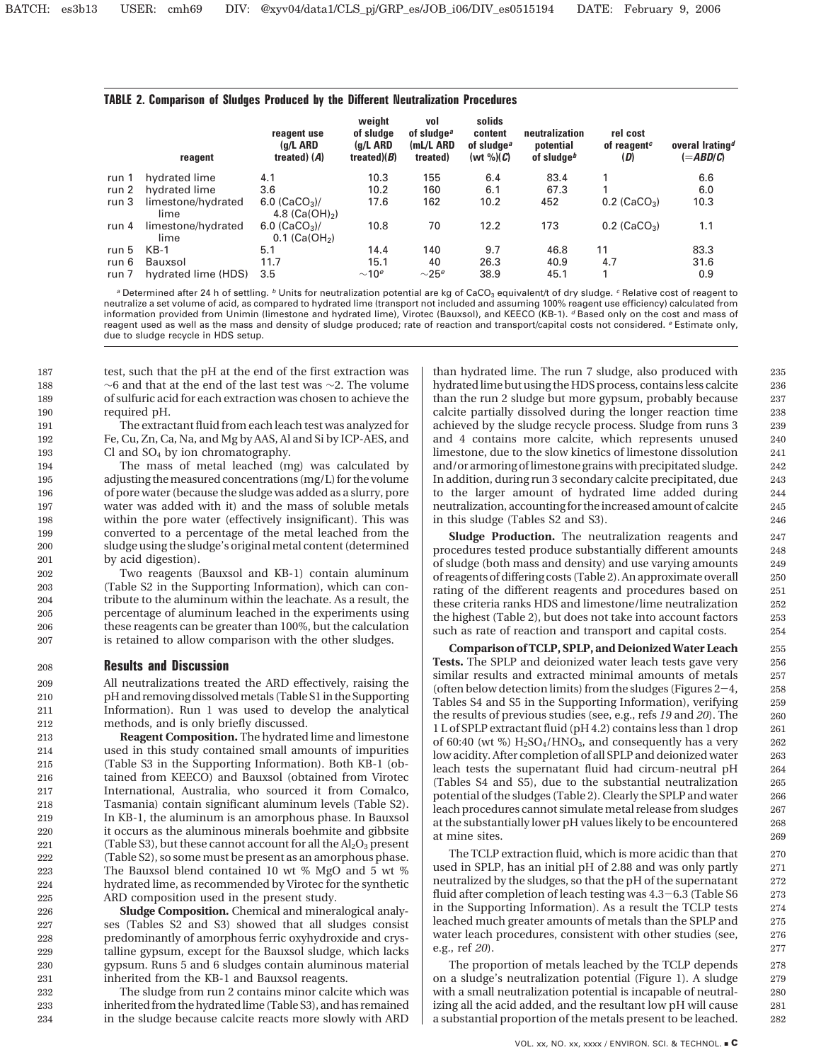### **TABLE 2. Comparison of Sludges Produced by the Different Neutralization Procedures**

|       | reagent                    | reagent use<br>$(q/L$ ARD<br>treated) $(A)$    | weight<br>of sludge<br>(g/L ARD<br>treated) $(B)$ | vol<br>of sludae <sup>a</sup><br>(mL/L ARD<br>treated) | solids<br>content<br>of sludge <sup>a</sup><br>(wt $\%$ )(C) | neutralization<br>potential<br>of sludge <sup>b</sup> | rel cost<br>of reagent <sup><math>c</math></sup><br>(D) | overal Irating <sup>d</sup><br>$(=\!\mathit{ABD/C}\!)$ |
|-------|----------------------------|------------------------------------------------|---------------------------------------------------|--------------------------------------------------------|--------------------------------------------------------------|-------------------------------------------------------|---------------------------------------------------------|--------------------------------------------------------|
| run 1 | hydrated lime              | 4.1                                            | 10.3                                              | 155                                                    | 6.4                                                          | 83.4                                                  |                                                         | 6.6                                                    |
| run 2 | hydrated lime              | 3.6                                            | 10.2                                              | 160                                                    | 6.1                                                          | 67.3                                                  |                                                         | 6.0                                                    |
| run 3 | limestone/hydrated<br>lime | 6.0 $(CaCO3)$ /<br>4.8 $(Ca(OH)_{2})$          | 17.6                                              | 162                                                    | 10.2                                                         | 452                                                   | $0.2$ (CaCO <sub>3</sub> )                              | 10.3                                                   |
| run 4 | limestone/hydrated<br>lime | 6.0 $(CaCO3)$ /<br>$0.1$ (Ca(OH <sub>2</sub> ) | 10.8                                              | 70                                                     | 12.2                                                         | 173                                                   | $0.2$ (CaCO <sub>3</sub> )                              | 1.1                                                    |
| run 5 | $KB-1$                     | 5.1                                            | 14.4                                              | 140                                                    | 9.7                                                          | 46.8                                                  | 11                                                      | 83.3                                                   |
| run 6 | Bauxsol                    | 11.7                                           | 15.1                                              | 40                                                     | 26.3                                                         | 40.9                                                  | 4.7                                                     | 31.6                                                   |
| run 7 | hydrated lime (HDS)        | 3.5                                            | $\sim$ 10 <sup>e</sup>                            | $\sim$ 25 $e$                                          | 38.9                                                         | 45.1                                                  |                                                         | 0.9                                                    |

<sup>a</sup> Determined after 24 h of settling. <sup>b</sup> Units for neutralization potential are kg of CaCO<sub>3</sub> equivalent/t of dry sludge. <sup>c</sup> Relative cost of reagent to neutralize a set volume of acid, as compared to hydrated lime (transport not included and assuming 100% reagent use efficiency) calculated from information provided from Unimin (limestone and hydrated lime), Virotec (Bauxsol), and KEECO (KB-1). d Based only on the cost and mass of reagent used as well as the mass and density of sludge produced; rate of reaction and transport/capital costs not considered. *e* Estimate only, due to sludge recycle in HDS setup.

test, such that the pH at the end of the first extraction was ∼6 and that at the end of the last test was ∼2. The volume of sulfuric acid for each extraction was chosen to achieve the required pH.

The extractant fluid from each leach test was analyzed for Fe, Cu, Zn, Ca, Na, and Mg by AAS, Al and Si by ICP-AES, and Cl and  $SO_4$  by ion chromatography.

The mass of metal leached (mg) was calculated by adjusting the measured concentrations (mg/L) for the volume of pore water (because the sludge was added as a slurry, pore water was added with it) and the mass of soluble metals within the pore water (effectively insignificant). This was converted to a percentage of the metal leached from the sludge using the sludge's original metal content (determined by acid digestion).

Two reagents (Bauxsol and KB-1) contain aluminum (Table S2 in the Supporting Information), which can contribute to the aluminum within the leachate. As a result, the percentage of aluminum leached in the experiments using these reagents can be greater than 100%, but the calculation is retained to allow comparison with the other sludges.

### **Results and Discussion** 208

All neutralizations treated the ARD effectively, raising the pH and removing dissolved metals (Table S1 in the Supporting Information). Run 1 was used to develop the analytical methods, and is only briefly discussed.

**Reagent Composition.** The hydrated lime and limestone used in this study contained small amounts of impurities (Table S3 in the Supporting Information). Both KB-1 (obtained from KEECO) and Bauxsol (obtained from Virotec International, Australia, who sourced it from Comalco, Tasmania) contain significant aluminum levels (Table S2). In KB-1, the aluminum is an amorphous phase. In Bauxsol it occurs as the aluminous minerals boehmite and gibbsite (Table S3), but these cannot account for all the  $Al_2O_3$  present (Table S2), so some must be present as an amorphous phase. The Bauxsol blend contained 10 wt % MgO and 5 wt % hydrated lime, as recommended by Virotec for the synthetic ARD composition used in the present study. 219

**Sludge Composition.** Chemical and mineralogical analyses (Tables S2 and S3) showed that all sludges consist predominantly of amorphous ferric oxyhydroxide and crystalline gypsum, except for the Bauxsol sludge, which lacks gypsum. Runs 5 and 6 sludges contain aluminous material inherited from the KB-1 and Bauxsol reagents.

The sludge from run 2 contains minor calcite which was inherited from the hydrated lime (Table S3), and has remained in the sludge because calcite reacts more slowly with ARD than hydrated lime. The run 7 sludge, also produced with hydrated lime but using the HDS process, contains less calcite than the run 2 sludge but more gypsum, probably because calcite partially dissolved during the longer reaction time achieved by the sludge recycle process. Sludge from runs 3 and 4 contains more calcite, which represents unused limestone, due to the slow kinetics of limestone dissolution and/or armoring of limestone grains with precipitated sludge. In addition, during run 3 secondary calcite precipitated, due to the larger amount of hydrated lime added during neutralization, accounting for the increased amount of calcite in this sludge (Tables S2 and S3).

**Sludge Production.** The neutralization reagents and procedures tested produce substantially different amounts of sludge (both mass and density) and use varying amounts of reagents of differing costs (Table 2). An approximate overall rating of the different reagents and procedures based on these criteria ranks HDS and limestone/lime neutralization the highest (Table 2), but does not take into account factors such as rate of reaction and transport and capital costs.

**Comparison of TCLP, SPLP, and Deionized Water Leach Tests.** The SPLP and deionized water leach tests gave very similar results and extracted minimal amounts of metals (often below detection limits) from the sludges (Figures  $2-4$ , Tables S4 and S5 in the Supporting Information), verifying the results of previous studies (see, e.g., refs *19* and *20*). The 1 L of SPLP extractant fluid (pH 4.2) contains less than 1 drop of 60:40 (wt %)  $H<sub>2</sub>SO<sub>4</sub>/HNO<sub>3</sub>$ , and consequently has a very low acidity. After completion of all SPLP and deionized water leach tests the supernatant fluid had circum-neutral pH (Tables S4 and S5), due to the substantial neutralization potential of the sludges (Table 2). Clearly the SPLP and water leach procedures cannot simulate metal release from sludges at the substantially lower pH values likely to be encountered at mine sites.

The TCLP extraction fluid, which is more acidic than that used in SPLP, has an initial pH of 2.88 and was only partly neutralized by the sludges, so that the pH of the supernatant fluid after completion of leach testing was 4.3-6.3 (Table S6 in the Supporting Information). As a result the TCLP tests leached much greater amounts of metals than the SPLP and water leach procedures, consistent with other studies (see, e.g., ref *20*).

The proportion of metals leached by the TCLP depends on a sludge's neutralization potential (Figure 1). A sludge with a small neutralization potential is incapable of neutralizing all the acid added, and the resultant low pH will cause a substantial proportion of the metals present to be leached.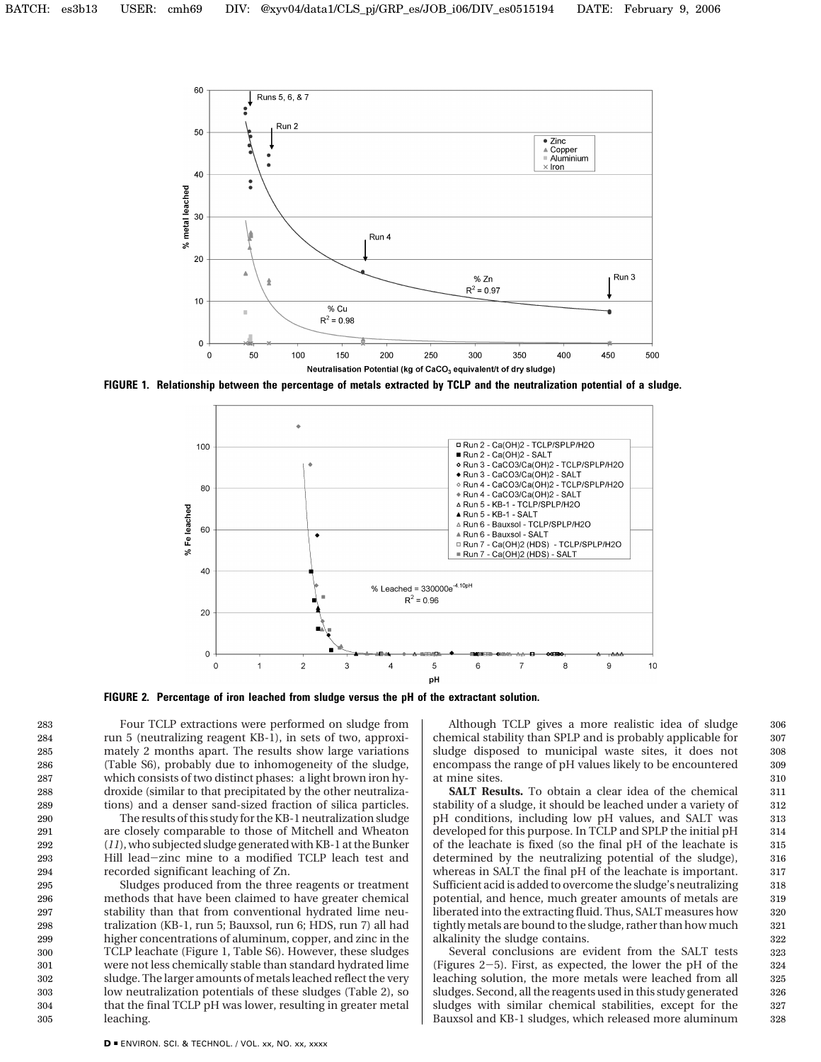

**FIGURE 1. Relationship between the percentage of metals extracted by TCLP and the neutralization potential of a sludge.**



**FIGURE 2. Percentage of iron leached from sludge versus the pH of the extractant solution.**

Four TCLP extractions were performed on sludge from run 5 (neutralizing reagent KB-1), in sets of two, approximately 2 months apart. The results show large variations (Table S6), probably due to inhomogeneity of the sludge, which consists of two distinct phases: a light brown iron hydroxide (similar to that precipitated by the other neutralizations) and a denser sand-sized fraction of silica particles.

The results of this study for the KB-1 neutralization sludge are closely comparable to those of Mitchell and Wheaton (*11*), who subjected sludge generated with KB-1 at the Bunker Hill lead-zinc mine to a modified TCLP leach test and recorded significant leaching of Zn.

Sludges produced from the three reagents or treatment methods that have been claimed to have greater chemical stability than that from conventional hydrated lime neutralization (KB-1, run 5; Bauxsol, run 6; HDS, run 7) all had higher concentrations of aluminum, copper, and zinc in the TCLP leachate (Figure 1, Table S6). However, these sludges were not less chemically stable than standard hydrated lime sludge. The larger amounts of metals leached reflect the very low neutralization potentials of these sludges (Table 2), so that the final TCLP pH was lower, resulting in greater metal leaching.

Although TCLP gives a more realistic idea of sludge chemical stability than SPLP and is probably applicable for sludge disposed to municipal waste sites, it does not encompass the range of pH values likely to be encountered at mine sites.

**SALT Results.** To obtain a clear idea of the chemical stability of a sludge, it should be leached under a variety of pH conditions, including low pH values, and SALT was developed for this purpose. In TCLP and SPLP the initial pH of the leachate is fixed (so the final pH of the leachate is determined by the neutralizing potential of the sludge), whereas in SALT the final pH of the leachate is important. Sufficient acid is added to overcome the sludge's neutralizing potential, and hence, much greater amounts of metals are liberated into the extracting fluid. Thus, SALT measures how tightly metals are bound to the sludge, rather than how much alkalinity the sludge contains.

Several conclusions are evident from the SALT tests (Figures 2-5). First, as expected, the lower the pH of the leaching solution, the more metals were leached from all sludges. Second, all the reagents used in this study generated sludges with similar chemical stabilities, except for the Bauxsol and KB-1 sludges, which released more aluminum

326 327 328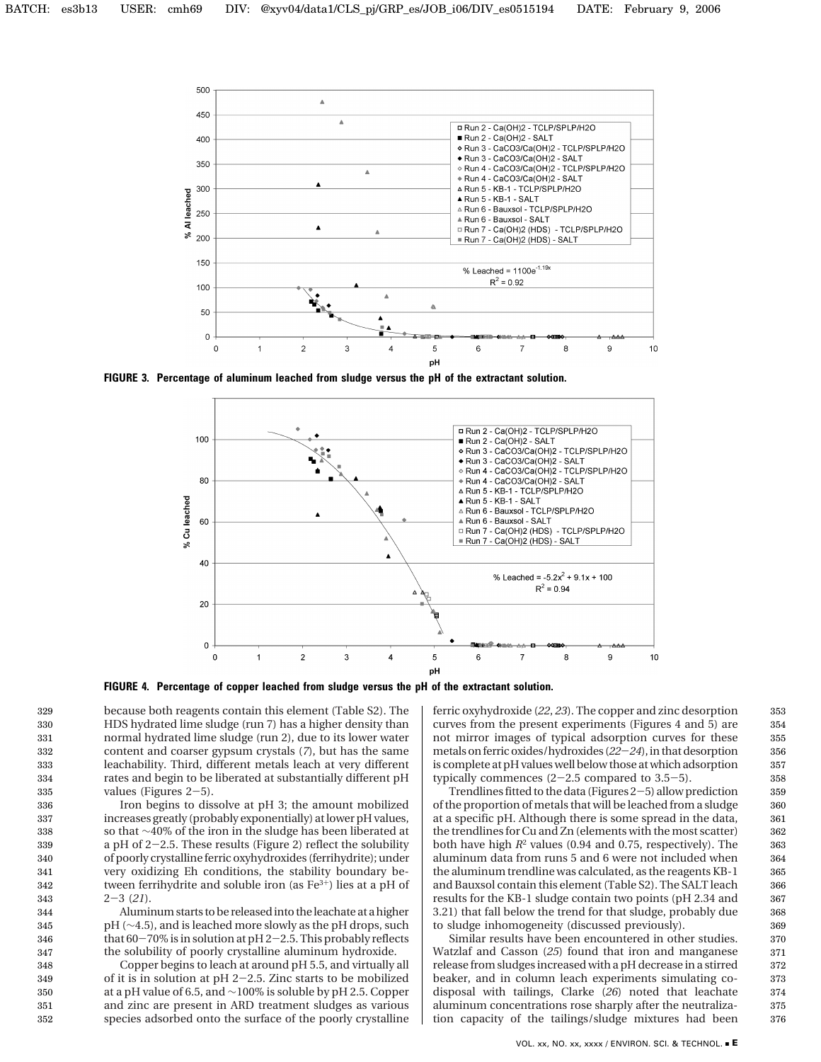

**FIGURE 3. Percentage of aluminum leached from sludge versus the pH of the extractant solution.**



**FIGURE 4. Percentage of copper leached from sludge versus the pH of the extractant solution.**

because both reagents contain this element (Table S2). The HDS hydrated lime sludge (run 7) has a higher density than normal hydrated lime sludge (run 2), due to its lower water content and coarser gypsum crystals (*7*), but has the same leachability. Third, different metals leach at very different rates and begin to be liberated at substantially different pH values (Figures  $2-5$ ).

Iron begins to dissolve at pH 3; the amount mobilized increases greatly (probably exponentially) at lower pH values, so that ∼40% of the iron in the sludge has been liberated at a pH of 2-2.5. These results (Figure 2) reflect the solubility of poorly crystalline ferric oxyhydroxides (ferrihydrite); under very oxidizing Eh conditions, the stability boundary between ferrihydrite and soluble iron (as  $Fe<sup>3+</sup>$ ) lies at a pH of <sup>2</sup>-3 (*21*).

Aluminum starts to be released into the leachate at a higher pH (∼4.5), and is leached more slowly as the pH drops, such that  $60-70\%$  is in solution at  $pH 2-2.5$ . This probably reflects the solubility of poorly crystalline aluminum hydroxide.

Copper begins to leach at around pH 5.5, and virtually all of it is in solution at  $pH$  2-2.5. Zinc starts to be mobilized at a pH value of 6.5, and ∼100% is soluble by pH 2.5. Copper and zinc are present in ARD treatment sludges as various species adsorbed onto the surface of the poorly crystalline ferric oxyhydroxide (*22*, *23*). The copper and zinc desorption curves from the present experiments (Figures 4 and 5) are not mirror images of typical adsorption curves for these metals on ferric oxides/hydroxides (*22*-*24*), in that desorption is complete at pH values well below those at which adsorption typically commences  $(2-2.5$  compared to  $3.5-5$ ).

Trendlines fitted to the data (Figures 2-5) allow prediction of the proportion of metals that will be leached from a sludge at a specific pH. Although there is some spread in the data, the trendlines for Cu and Zn (elements with the most scatter) both have high *R*<sup>2</sup> values (0.94 and 0.75, respectively). The aluminum data from runs 5 and 6 were not included when the aluminum trendline was calculated, as the reagents KB-1 and Bauxsol contain this element (Table S2). The SALT leach results for the KB-1 sludge contain two points (pH 2.34 and 3.21) that fall below the trend for that sludge, probably due to sludge inhomogeneity (discussed previously).

Similar results have been encountered in other studies. Watzlaf and Casson (*25*) found that iron and manganese release from sludges increased with a pH decrease in a stirred beaker, and in column leach experiments simulating codisposal with tailings, Clarke (*26*) noted that leachate aluminum concentrations rose sharply after the neutralization capacity of the tailings/sludge mixtures had been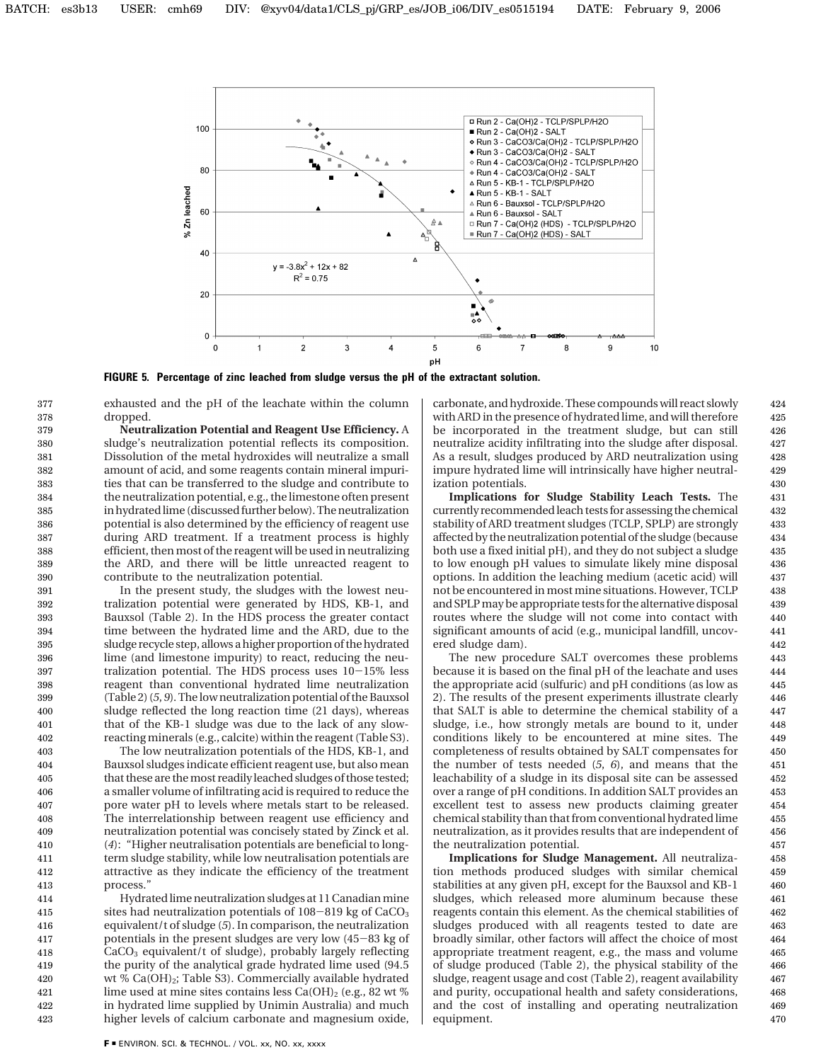

**FIGURE 5. Percentage of zinc leached from sludge versus the pH of the extractant solution.**

exhausted and the pH of the leachate within the column dropped.

**Neutralization Potential and Reagent Use Efficiency.** A sludge's neutralization potential reflects its composition. Dissolution of the metal hydroxides will neutralize a small amount of acid, and some reagents contain mineral impurities that can be transferred to the sludge and contribute to the neutralization potential, e.g., the limestone often present in hydrated lime (discussed further below). The neutralization potential is also determined by the efficiency of reagent use during ARD treatment. If a treatment process is highly efficient, then most of the reagent will be used in neutralizing the ARD, and there will be little unreacted reagent to contribute to the neutralization potential.

In the present study, the sludges with the lowest neutralization potential were generated by HDS, KB-1, and Bauxsol (Table 2). In the HDS process the greater contact time between the hydrated lime and the ARD, due to the sludge recycle step, allows a higher proportion of the hydrated lime (and limestone impurity) to react, reducing the neutralization potential. The HDS process uses 10-15% less reagent than conventional hydrated lime neutralization (Table 2) (*5*, *9*). The low neutralization potential of the Bauxsol sludge reflected the long reaction time (21 days), whereas that of the KB-1 sludge was due to the lack of any slowreacting minerals (e.g., calcite) within the reagent (Table S3). 391 392 393 394 395 396 397 398 399 400 401 402

The low neutralization potentials of the HDS, KB-1, and Bauxsol sludges indicate efficient reagent use, but also mean that these are the most readily leached sludges of those tested; a smaller volume of infiltrating acid is required to reduce the pore water pH to levels where metals start to be released. The interrelationship between reagent use efficiency and neutralization potential was concisely stated by Zinck et al. (*4*): "Higher neutralisation potentials are beneficial to longterm sludge stability, while low neutralisation potentials are attractive as they indicate the efficiency of the treatment process." 403 404 405 406 407 408 409 410 411 412 413

Hydrated lime neutralization sludges at 11 Canadian mine sites had neutralization potentials of  $108-819$  kg of  $CaCO<sub>3</sub>$ equivalent/t of sludge (*5*). In comparison, the neutralization potentials in the present sludges are very low (45-83 kg of  $CaCO<sub>3</sub>$  equivalent/t of sludge), probably largely reflecting the purity of the analytical grade hydrated lime used (94.5 wt %  $Ca(OH)_2$ ; Table S3). Commercially available hydrated lime used at mine sites contains less  $Ca(OH)_2$  (e.g., 82 wt %) in hydrated lime supplied by Unimin Australia) and much higher levels of calcium carbonate and magnesium oxide, 414 415 416 417 418 419 420 421 422 423

carbonate, and hydroxide. These compounds will react slowly with ARD in the presence of hydrated lime, and will therefore be incorporated in the treatment sludge, but can still neutralize acidity infiltrating into the sludge after disposal. As a result, sludges produced by ARD neutralization using impure hydrated lime will intrinsically have higher neutralization potentials.

**Implications for Sludge Stability Leach Tests.** The currently recommended leach tests for assessing the chemical stability of ARD treatment sludges (TCLP, SPLP) are strongly affected by the neutralization potential of the sludge (because both use a fixed initial pH), and they do not subject a sludge to low enough pH values to simulate likely mine disposal options. In addition the leaching medium (acetic acid) will not be encountered in most mine situations. However, TCLP and SPLP may be appropriate tests for the alternative disposal routes where the sludge will not come into contact with significant amounts of acid (e.g., municipal landfill, uncovered sludge dam).

The new procedure SALT overcomes these problems because it is based on the final pH of the leachate and uses the appropriate acid (sulfuric) and pH conditions (as low as 2). The results of the present experiments illustrate clearly that SALT is able to determine the chemical stability of a sludge, i.e., how strongly metals are bound to it, under conditions likely to be encountered at mine sites. The completeness of results obtained by SALT compensates for the number of tests needed (*5*, *6*), and means that the leachability of a sludge in its disposal site can be assessed over a range of pH conditions. In addition SALT provides an excellent test to assess new products claiming greater chemical stability than that from conventional hydrated lime neutralization, as it provides results that are independent of the neutralization potential.

**Implications for Sludge Management.** All neutralization methods produced sludges with similar chemical stabilities at any given pH, except for the Bauxsol and KB-1 sludges, which released more aluminum because these reagents contain this element. As the chemical stabilities of sludges produced with all reagents tested to date are broadly similar, other factors will affect the choice of most appropriate treatment reagent, e.g., the mass and volume of sludge produced (Table 2), the physical stability of the sludge, reagent usage and cost (Table 2), reagent availability and purity, occupational health and safety considerations, and the cost of installing and operating neutralization equipment.